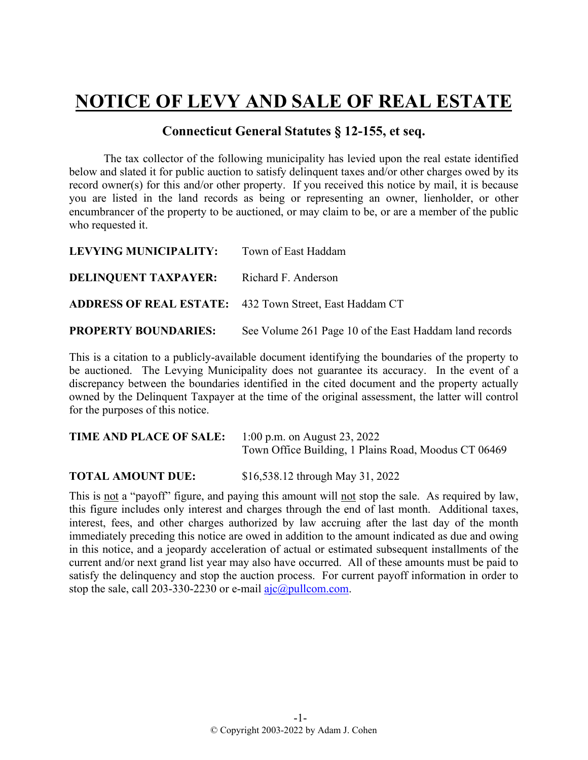## **NOTICE OF LEVY AND SALE OF REAL ESTATE**

## **Connecticut General Statutes § 12-155, et seq.**

The tax collector of the following municipality has levied upon the real estate identified below and slated it for public auction to satisfy delinquent taxes and/or other charges owed by its record owner(s) for this and/or other property. If you received this notice by mail, it is because you are listed in the land records as being or representing an owner, lienholder, or other encumbrancer of the property to be auctioned, or may claim to be, or are a member of the public who requested it.

| LEVYING MUNICIPALITY:       | Town of East Haddam                                            |
|-----------------------------|----------------------------------------------------------------|
| <b>DELINQUENT TAXPAYER:</b> | Richard F. Anderson                                            |
|                             | <b>ADDRESS OF REAL ESTATE:</b> 432 Town Street, East Haddam CT |
| <b>PROPERTY BOUNDARIES:</b> | See Volume 261 Page 10 of the East Haddam land records         |

This is a citation to a publicly-available document identifying the boundaries of the property to be auctioned. The Levying Municipality does not guarantee its accuracy. In the event of a discrepancy between the boundaries identified in the cited document and the property actually owned by the Delinquent Taxpayer at the time of the original assessment, the latter will control for the purposes of this notice.

| <b>TIME AND PLACE OF SALE:</b> | 1:00 p.m. on August 23, 2022                         |
|--------------------------------|------------------------------------------------------|
|                                | Town Office Building, 1 Plains Road, Moodus CT 06469 |

**TOTAL AMOUNT DUE:** \$16,538.12 through May 31, 2022

This is not a "payoff" figure, and paying this amount will not stop the sale. As required by law, this figure includes only interest and charges through the end of last month. Additional taxes, interest, fees, and other charges authorized by law accruing after the last day of the month immediately preceding this notice are owed in addition to the amount indicated as due and owing in this notice, and a jeopardy acceleration of actual or estimated subsequent installments of the current and/or next grand list year may also have occurred. All of these amounts must be paid to satisfy the delinquency and stop the auction process. For current payoff information in order to stop the sale, call 203-330-2230 or e-mail  $a$ jc $@p$ ullcom.com.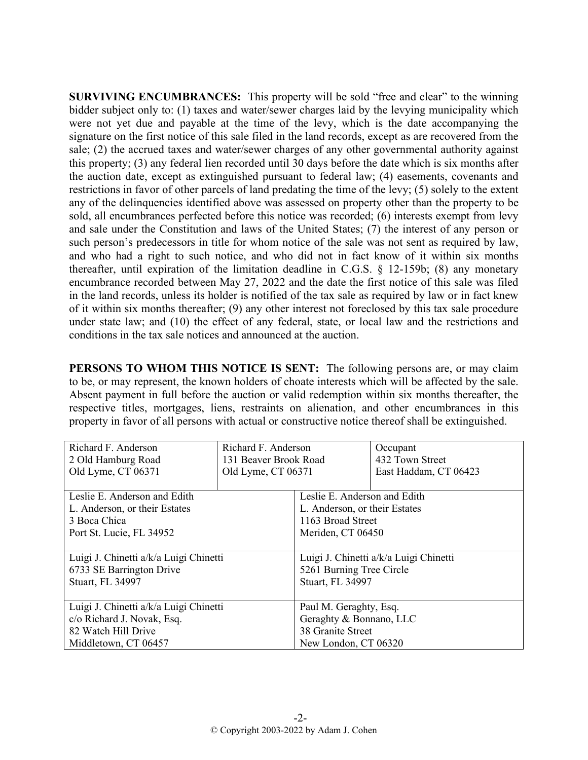**SURVIVING ENCUMBRANCES:** This property will be sold "free and clear" to the winning bidder subject only to: (1) taxes and water/sewer charges laid by the levying municipality which were not yet due and payable at the time of the levy, which is the date accompanying the signature on the first notice of this sale filed in the land records, except as are recovered from the sale; (2) the accrued taxes and water/sewer charges of any other governmental authority against this property; (3) any federal lien recorded until 30 days before the date which is six months after the auction date, except as extinguished pursuant to federal law; (4) easements, covenants and restrictions in favor of other parcels of land predating the time of the levy; (5) solely to the extent any of the delinquencies identified above was assessed on property other than the property to be sold, all encumbrances perfected before this notice was recorded; (6) interests exempt from levy and sale under the Constitution and laws of the United States; (7) the interest of any person or such person's predecessors in title for whom notice of the sale was not sent as required by law, and who had a right to such notice, and who did not in fact know of it within six months thereafter, until expiration of the limitation deadline in C.G.S. § 12-159b; (8) any monetary encumbrance recorded between May 27, 2022 and the date the first notice of this sale was filed in the land records, unless its holder is notified of the tax sale as required by law or in fact knew of it within six months thereafter; (9) any other interest not foreclosed by this tax sale procedure under state law; and (10) the effect of any federal, state, or local law and the restrictions and conditions in the tax sale notices and announced at the auction.

**PERSONS TO WHOM THIS NOTICE IS SENT:** The following persons are, or may claim to be, or may represent, the known holders of choate interests which will be affected by the sale. Absent payment in full before the auction or valid redemption within six months thereafter, the respective titles, mortgages, liens, restraints on alienation, and other encumbrances in this property in favor of all persons with actual or constructive notice thereof shall be extinguished.

| Richard F. Anderson                    | Richard F. Anderson   |                                        | Occupant              |
|----------------------------------------|-----------------------|----------------------------------------|-----------------------|
| 2 Old Hamburg Road                     | 131 Beaver Brook Road |                                        | 432 Town Street       |
| Old Lyme, CT 06371                     | Old Lyme, CT 06371    |                                        | East Haddam, CT 06423 |
|                                        |                       |                                        |                       |
| Leslie E. Anderson and Edith           |                       | Leslie E. Anderson and Edith           |                       |
| L. Anderson, or their Estates          |                       | L. Anderson, or their Estates          |                       |
| 3 Boca Chica                           |                       | 1163 Broad Street                      |                       |
| Port St. Lucie, FL 34952               |                       | Meriden, CT 06450                      |                       |
|                                        |                       |                                        |                       |
| Luigi J. Chinetti a/k/a Luigi Chinetti |                       | Luigi J. Chinetti a/k/a Luigi Chinetti |                       |
| 6733 SE Barrington Drive               |                       | 5261 Burning Tree Circle               |                       |
| Stuart, FL 34997                       |                       | <b>Stuart, FL 34997</b>                |                       |
|                                        |                       |                                        |                       |
| Luigi J. Chinetti a/k/a Luigi Chinetti |                       | Paul M. Geraghty, Esq.                 |                       |
| c/o Richard J. Novak, Esq.             |                       | Geraghty & Bonnano, LLC                |                       |
| 82 Watch Hill Drive                    |                       | 38 Granite Street                      |                       |
| Middletown, CT 06457                   |                       | New London, CT 06320                   |                       |